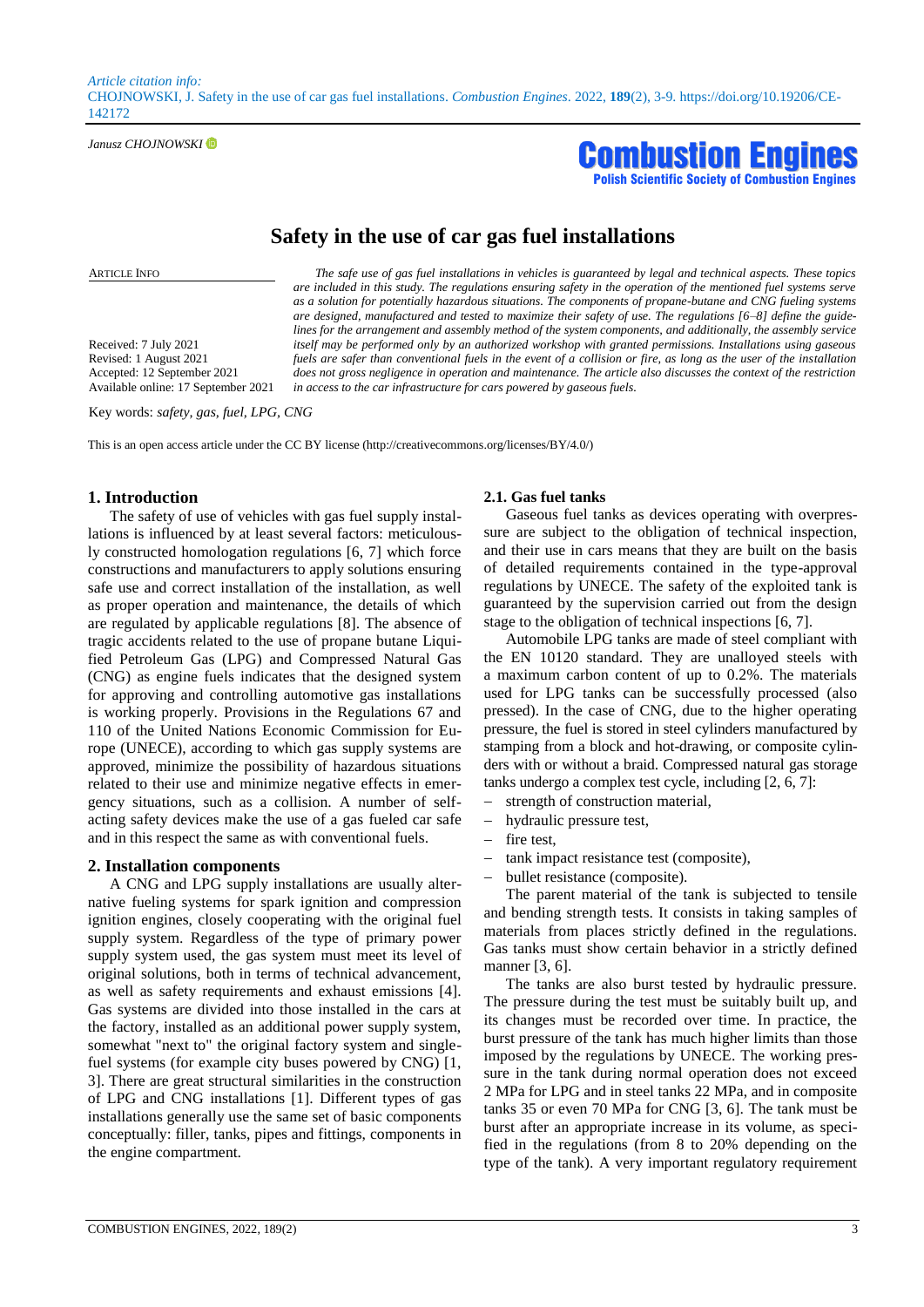*Article citation info:*  CHOJNOWSKI, J. Safety in the use of car gas fuel installations. *Combustion Engines*. 2022, **189**(2), 3-9. https://doi.org/10.19206/CE-142172

*Janusz CHOJNOWSKI* 



# **Safety in the use of car gas fuel installations**

*in access to the car infrastructure for cars powered by gaseous fuels.*

ARTICLE INFO *The safe use of gas fuel installations in vehicles is guaranteed by legal and technical aspects. These topics* 

Received: 7 July 2021 Revised: 1 August 2021 Accepted: 12 September 2021 Available online: 17 September 2021

Key words: *safety, gas, fuel, LPG, CNG*

This is an open access article under the CC BY license (http://creativecommons.org/licenses/BY/4.0/)

# **1. Introduction**

The safety of use of vehicles with gas fuel supply installations is influenced by at least several factors: meticulously constructed homologation regulations [6, 7] which force constructions and manufacturers to apply solutions ensuring safe use and correct installation of the installation, as well as proper operation and maintenance, the details of which are regulated by applicable regulations [8]. The absence of tragic accidents related to the use of propane butane Liquified Petroleum Gas (LPG) and Compressed Natural Gas (CNG) as engine fuels indicates that the designed system for approving and controlling automotive gas installations is working properly. Provisions in the Regulations 67 and 110 of the United Nations Economic Commission for Europe (UNECE), according to which gas supply systems are approved, minimize the possibility of hazardous situations related to their use and minimize negative effects in emergency situations, such as a collision. A number of selfacting safety devices make the use of a gas fueled car safe and in this respect the same as with conventional fuels.

#### **2. Installation components**

A CNG and LPG supply installations are usually alternative fueling systems for spark ignition and compression ignition engines, closely cooperating with the original fuel supply system. Regardless of the type of primary power supply system used, the gas system must meet its level of original solutions, both in terms of technical advancement, as well as safety requirements and exhaust emissions [4]. Gas systems are divided into those installed in the cars at the factory, installed as an additional power supply system, somewhat "next to" the original factory system and singlefuel systems (for example city buses powered by CNG) [1, 3]. There are great structural similarities in the construction of LPG and CNG installations [1]. Different types of gas installations generally use the same set of basic components conceptually: filler, tanks, pipes and fittings, components in the engine compartment.

#### **2.1. Gas fuel tanks**

*are included in this study. The regulations ensuring safety in the operation of the mentioned fuel systems serve as a solution for potentially hazardous situations. The components of propane-butane and CNG fueling systems are designed, manufactured and tested to maximize their safety of use. The regulations [6–8] define the guidelines for the arrangement and assembly method of the system components, and additionally, the assembly service itself may be performed only by an authorized workshop with granted permissions. Installations using gaseous fuels are safer than conventional fuels in the event of a collision or fire, as long as the user of the installation does not gross negligence in operation and maintenance. The article also discusses the context of the restriction* 

> Gaseous fuel tanks as devices operating with overpressure are subject to the obligation of technical inspection, and their use in cars means that they are built on the basis of detailed requirements contained in the type-approval regulations by UNECE. The safety of the exploited tank is guaranteed by the supervision carried out from the design stage to the obligation of technical inspections [6, 7].

> Automobile LPG tanks are made of steel compliant with the EN 10120 standard. They are unalloyed steels with a maximum carbon content of up to 0.2%. The materials used for LPG tanks can be successfully processed (also pressed). In the case of CNG, due to the higher operating pressure, the fuel is stored in steel cylinders manufactured by stamping from a block and hot-drawing, or composite cylinders with or without a braid. Compressed natural gas storage tanks undergo a complex test cycle, including [2, 6, 7]:

- strength of construction material,
- hydraulic pressure test,
- fire test,
- tank impact resistance test (composite),
- bullet resistance (composite).

The parent material of the tank is subjected to tensile and bending strength tests. It consists in taking samples of materials from places strictly defined in the regulations. Gas tanks must show certain behavior in a strictly defined manner [3, 6].

The tanks are also burst tested by hydraulic pressure. The pressure during the test must be suitably built up, and its changes must be recorded over time. In practice, the burst pressure of the tank has much higher limits than those imposed by the regulations by UNECE. The working pressure in the tank during normal operation does not exceed 2 MPa for LPG and in steel tanks 22 MPa, and in composite tanks 35 or even 70 MPa for CNG [3, 6]. The tank must be burst after an appropriate increase in its volume, as specified in the regulations (from 8 to 20% depending on the type of the tank). A very important regulatory requirement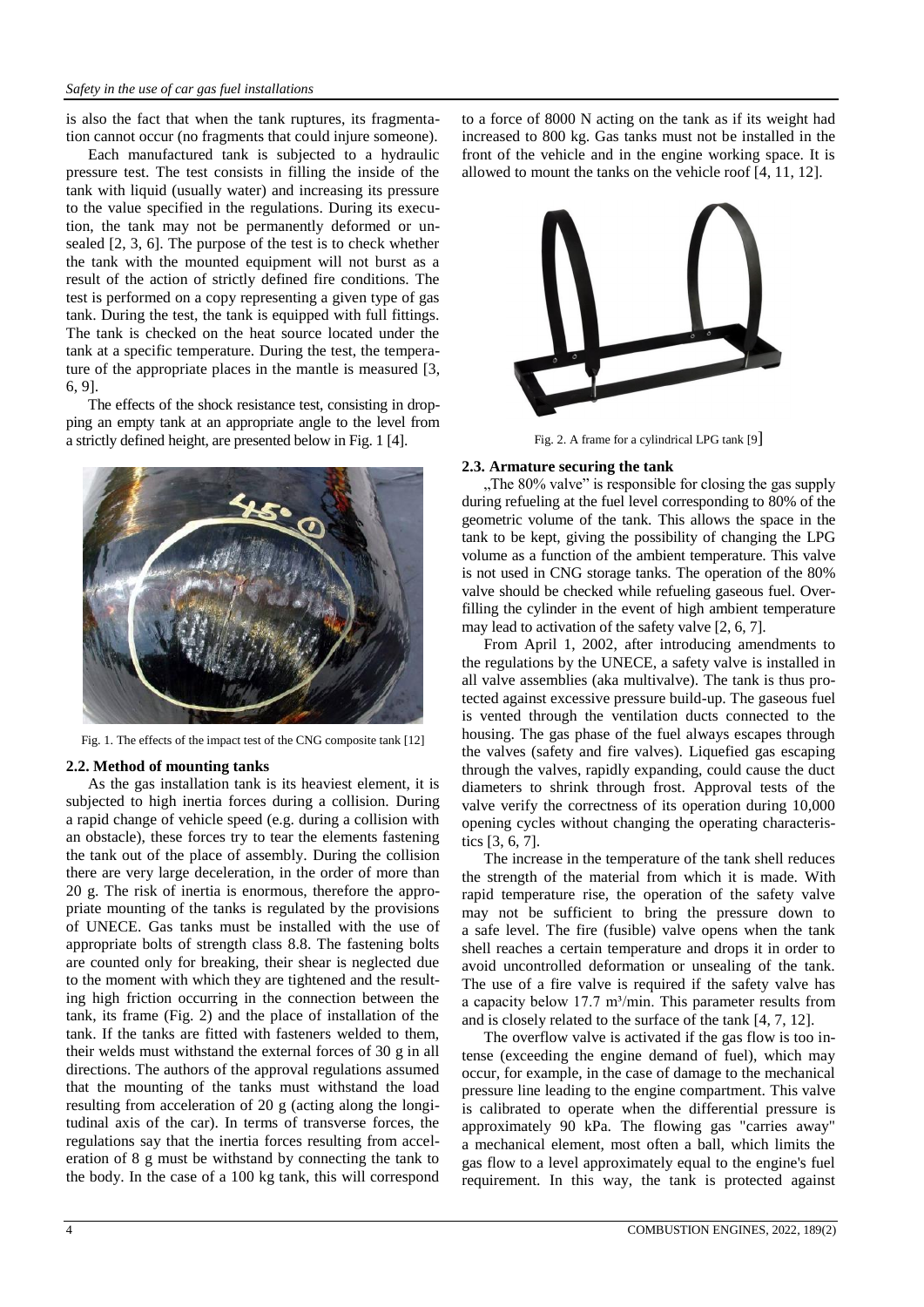is also the fact that when the tank ruptures, its fragmentation cannot occur (no fragments that could injure someone).

Each manufactured tank is subjected to a hydraulic pressure test. The test consists in filling the inside of the tank with liquid (usually water) and increasing its pressure to the value specified in the regulations. During its execution, the tank may not be permanently deformed or unsealed [2, 3, 6]. The purpose of the test is to check whether the tank with the mounted equipment will not burst as a result of the action of strictly defined fire conditions. The test is performed on a copy representing a given type of gas tank. During the test, the tank is equipped with full fittings. The tank is checked on the heat source located under the tank at a specific temperature. During the test, the temperature of the appropriate places in the mantle is measured [3, 6, 9].

The effects of the shock resistance test, consisting in dropping an empty tank at an appropriate angle to the level from a strictly defined height, are presented below in Fig. 1 [4].



Fig. 1. The effects of the impact test of the CNG composite tank [12]

# **2.2. Method of mounting tanks**

As the gas installation tank is its heaviest element, it is subjected to high inertia forces during a collision. During a rapid change of vehicle speed (e.g. during a collision with an obstacle), these forces try to tear the elements fastening the tank out of the place of assembly. During the collision there are very large deceleration, in the order of more than 20 g. The risk of inertia is enormous, therefore the appropriate mounting of the tanks is regulated by the provisions of UNECE. Gas tanks must be installed with the use of appropriate bolts of strength class 8.8. The fastening bolts are counted only for breaking, their shear is neglected due to the moment with which they are tightened and the resulting high friction occurring in the connection between the tank, its frame (Fig. 2) and the place of installation of the tank. If the tanks are fitted with fasteners welded to them, their welds must withstand the external forces of 30 g in all directions. The authors of the approval regulations assumed that the mounting of the tanks must withstand the load resulting from acceleration of 20 g (acting along the longitudinal axis of the car). In terms of transverse forces, the regulations say that the inertia forces resulting from acceleration of 8 g must be withstand by connecting the tank to the body. In the case of a 100 kg tank, this will correspond to a force of 8000 N acting on the tank as if its weight had increased to 800 kg. Gas tanks must not be installed in the front of the vehicle and in the engine working space. It is allowed to mount the tanks on the vehicle roof [4, 11, 12].



Fig. 2. A frame for a cylindrical LPG tank [9]

# **2.3. Armature securing the tank**

"The 80% valve" is responsible for closing the gas supply during refueling at the fuel level corresponding to 80% of the geometric volume of the tank. This allows the space in the tank to be kept, giving the possibility of changing the LPG volume as a function of the ambient temperature. This valve is not used in CNG storage tanks. The operation of the 80% valve should be checked while refueling gaseous fuel. Overfilling the cylinder in the event of high ambient temperature may lead to activation of the safety valve [2, 6, 7].

From April 1, 2002, after introducing amendments to the regulations by the UNECE, a safety valve is installed in all valve assemblies (aka multivalve). The tank is thus protected against excessive pressure build-up. The gaseous fuel is vented through the ventilation ducts connected to the housing. The gas phase of the fuel always escapes through the valves (safety and fire valves). Liquefied gas escaping through the valves, rapidly expanding, could cause the duct diameters to shrink through frost. Approval tests of the valve verify the correctness of its operation during 10,000 opening cycles without changing the operating characteristics [3, 6, 7].

The increase in the temperature of the tank shell reduces the strength of the material from which it is made. With rapid temperature rise, the operation of the safety valve may not be sufficient to bring the pressure down to a safe level. The fire (fusible) valve opens when the tank shell reaches a certain temperature and drops it in order to avoid uncontrolled deformation or unsealing of the tank. The use of a fire valve is required if the safety valve has a capacity below  $17.7 \text{ m}^3/\text{min}$ . This parameter results from and is closely related to the surface of the tank [4, 7, 12].

The overflow valve is activated if the gas flow is too intense (exceeding the engine demand of fuel), which may occur, for example, in the case of damage to the mechanical pressure line leading to the engine compartment. This valve is calibrated to operate when the differential pressure is approximately 90 kPa. The flowing gas "carries away" a mechanical element, most often a ball, which limits the gas flow to a level approximately equal to the engine's fuel requirement. In this way, the tank is protected against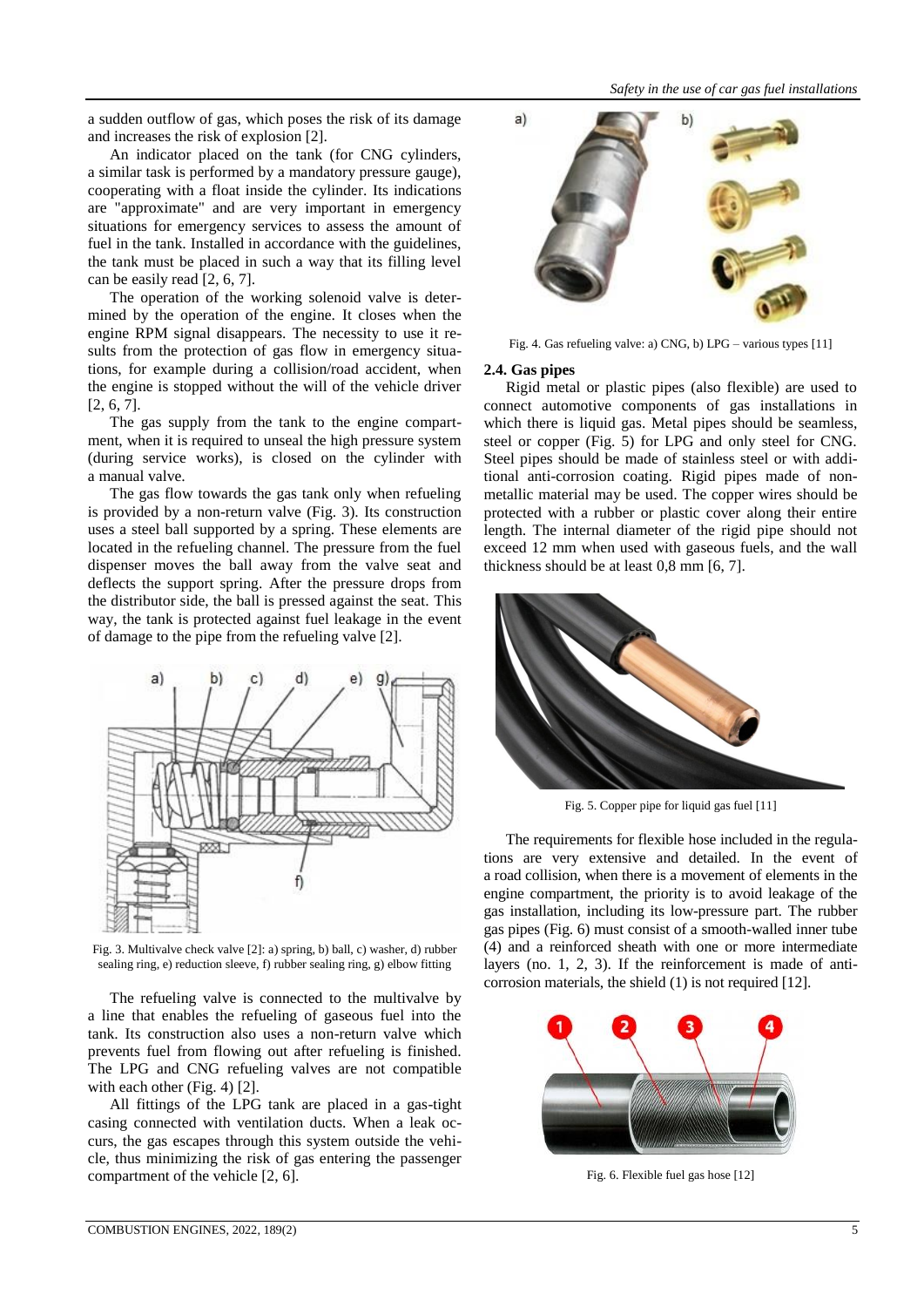a sudden outflow of gas, which poses the risk of its damage and increases the risk of explosion [2].

An indicator placed on the tank (for CNG cylinders, a similar task is performed by a mandatory pressure gauge), cooperating with a float inside the cylinder. Its indications are "approximate" and are very important in emergency situations for emergency services to assess the amount of fuel in the tank. Installed in accordance with the guidelines, the tank must be placed in such a way that its filling level can be easily read [2, 6, 7].

The operation of the working solenoid valve is determined by the operation of the engine. It closes when the engine RPM signal disappears. The necessity to use it results from the protection of gas flow in emergency situations, for example during a collision/road accident, when the engine is stopped without the will of the vehicle driver [2, 6, 7].

The gas supply from the tank to the engine compartment, when it is required to unseal the high pressure system (during service works), is closed on the cylinder with a manual valve.

The gas flow towards the gas tank only when refueling is provided by a non-return valve (Fig. 3). Its construction uses a steel ball supported by a spring. These elements are located in the refueling channel. The pressure from the fuel dispenser moves the ball away from the valve seat and deflects the support spring. After the pressure drops from the distributor side, the ball is pressed against the seat. This way, the tank is protected against fuel leakage in the event of damage to the pipe from the refueling valve [2].



Fig. 3. Multivalve check valve [2]: a) spring, b) ball, c) washer, d) rubber sealing ring, e) reduction sleeve, f) rubber sealing ring, g) elbow fitting

The refueling valve is connected to the multivalve by a line that enables the refueling of gaseous fuel into the tank. Its construction also uses a non-return valve which prevents fuel from flowing out after refueling is finished. The LPG and CNG refueling valves are not compatible with each other (Fig. 4) [2].

All fittings of the LPG tank are placed in a gas-tight casing connected with ventilation ducts. When a leak occurs, the gas escapes through this system outside the vehicle, thus minimizing the risk of gas entering the passenger compartment of the vehicle [2, 6].



Fig. 4. Gas refueling valve: a) CNG, b) LPG – various types [11]

# **2.4. Gas pipes**

Rigid metal or plastic pipes (also flexible) are used to connect automotive components of gas installations in which there is liquid gas. Metal pipes should be seamless, steel or copper (Fig. 5) for LPG and only steel for CNG. Steel pipes should be made of stainless steel or with additional anti-corrosion coating. Rigid pipes made of nonmetallic material may be used. The copper wires should be protected with a rubber or plastic cover along their entire length. The internal diameter of the rigid pipe should not exceed 12 mm when used with gaseous fuels, and the wall thickness should be at least 0,8 mm [6, 7].



Fig. 5. Copper pipe for liquid gas fuel [11]

The requirements for flexible hose included in the regulations are very extensive and detailed. In the event of a road collision, when there is a movement of elements in the engine compartment, the priority is to avoid leakage of the gas installation, including its low-pressure part. The rubber gas pipes (Fig. 6) must consist of a smooth-walled inner tube (4) and a reinforced sheath with one or more intermediate layers (no. 1, 2, 3). If the reinforcement is made of anticorrosion materials, the shield (1) is not required [12].



Fig. 6. Flexible fuel gas hose [12]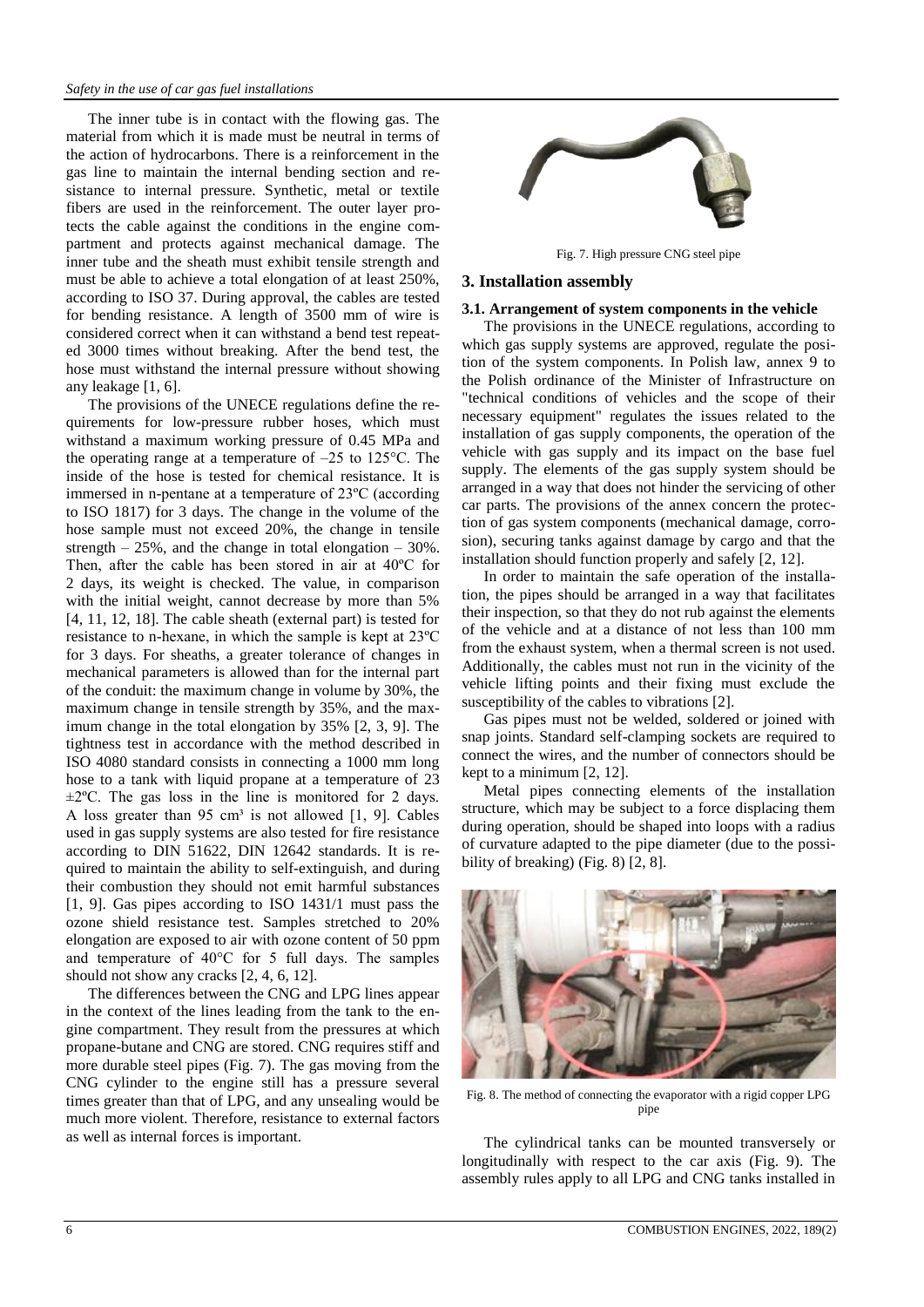The inner tube is in contact with the flowing gas. The material from which it is made must be neutral in terms of the action of hydrocarbons. There is a reinforcement in the gas line to maintain the internal bending section and resistance to internal pressure. Synthetic, metal or textile fibers are used in the reinforcement. The outer layer protects the cable against the conditions in the engine compartment and protects against mechanical damage. The inner tube and the sheath must exhibit tensile strength and must be able to achieve a total elongation of at least 250%, according to ISO 37. During approval, the cables are tested for bending resistance. A length of 3500 mm of wire is considered correct when it can withstand a bend test repeated 3000 times without breaking. After the bend test, the hose must withstand the internal pressure without showing any leakage [1, 6].

The provisions of the UNECE regulations define the requirements for low-pressure rubber hoses, which must withstand a maximum working pressure of 0.45 MPa and the operating range at a temperature of  $-25$  to 125 °C. The inside of the hose is tested for chemical resistance. It is immersed in n-pentane at a temperature of 23ºC (according to ISO 1817) for 3 days. The change in the volume of the hose sample must not exceed 20%, the change in tensile strength  $-25\%$ , and the change in total elongation  $-30\%$ . Then, after the cable has been stored in air at 40ºC for 2 days, its weight is checked. The value, in comparison with the initial weight, cannot decrease by more than 5% [4, 11, 12, 18]. The cable sheath (external part) is tested for resistance to n-hexane, in which the sample is kept at 23ºC for 3 days. For sheaths, a greater tolerance of changes in mechanical parameters is allowed than for the internal part of the conduit: the maximum change in volume by 30%, the maximum change in tensile strength by 35%, and the maximum change in the total elongation by 35% [2, 3, 9]. The tightness test in accordance with the method described in ISO 4080 standard consists in connecting a 1000 mm long hose to a tank with liquid propane at a temperature of 23  $\pm 2^{\circ}$ C. The gas loss in the line is monitored for 2 days. A loss greater than 95 cm<sup>3</sup> is not allowed  $[1, 9]$ . Cables used in gas supply systems are also tested for fire resistance according to DIN 51622, DIN 12642 standards. It is required to maintain the ability to self-extinguish, and during their combustion they should not emit harmful substances [1, 9]. Gas pipes according to ISO 1431/1 must pass the ozone shield resistance test. Samples stretched to 20% elongation are exposed to air with ozone content of 50 ppm and temperature of 40°C for 5 full days. The samples should not show any cracks [2, 4, 6, 12].

The differences between the CNG and LPG lines appear in the context of the lines leading from the tank to the engine compartment. They result from the pressures at which propane-butane and CNG are stored. CNG requires stiff and more durable steel pipes (Fig. 7). The gas moving from the CNG cylinder to the engine still has a pressure several times greater than that of LPG, and any unsealing would be much more violent. Therefore, resistance to external factors as well as internal forces is important.



Fig. 7. High pressure CNG steel pipe

# **3. Installation assembly**

#### **3.1. Arrangement of system components in the vehicle**

The provisions in the UNECE regulations, according to which gas supply systems are approved, regulate the position of the system components. In Polish law, annex 9 to the Polish ordinance of the Minister of Infrastructure on "technical conditions of vehicles and the scope of their necessary equipment" regulates the issues related to the installation of gas supply components, the operation of the vehicle with gas supply and its impact on the base fuel supply. The elements of the gas supply system should be arranged in a way that does not hinder the servicing of other car parts. The provisions of the annex concern the protection of gas system components (mechanical damage, corrosion), securing tanks against damage by cargo and that the installation should function properly and safely [2, 12].

In order to maintain the safe operation of the installation, the pipes should be arranged in a way that facilitates their inspection, so that they do not rub against the elements of the vehicle and at a distance of not less than 100 mm from the exhaust system, when a thermal screen is not used. Additionally, the cables must not run in the vicinity of the vehicle lifting points and their fixing must exclude the susceptibility of the cables to vibrations [2].

Gas pipes must not be welded, soldered or joined with snap joints. Standard self-clamping sockets are required to connect the wires, and the number of connectors should be kept to a minimum [2, 12].

Metal pipes connecting elements of the installation structure, which may be subject to a force displacing them during operation, should be shaped into loops with a radius of curvature adapted to the pipe diameter (due to the possibility of breaking) (Fig. 8) [2, 8].



Fig. 8. The method of connecting the evaporator with a rigid copper LPG pipe

The cylindrical tanks can be mounted transversely or longitudinally with respect to the car axis (Fig. 9). The assembly rules apply to all LPG and CNG tanks installed in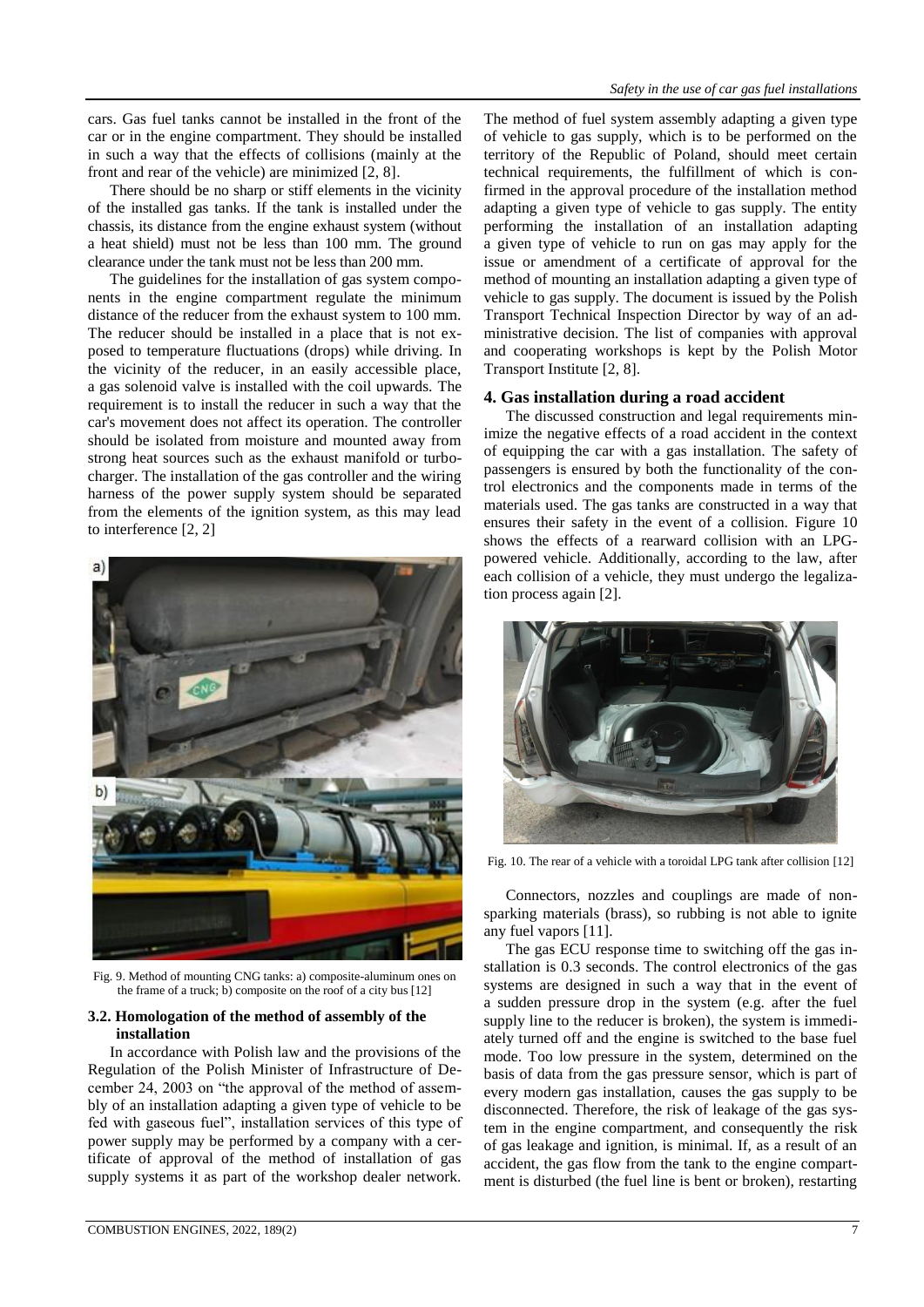cars. Gas fuel tanks cannot be installed in the front of the car or in the engine compartment. They should be installed in such a way that the effects of collisions (mainly at the front and rear of the vehicle) are minimized [2, 8].

There should be no sharp or stiff elements in the vicinity of the installed gas tanks. If the tank is installed under the chassis, its distance from the engine exhaust system (without a heat shield) must not be less than 100 mm. The ground clearance under the tank must not be less than 200 mm.

The guidelines for the installation of gas system components in the engine compartment regulate the minimum distance of the reducer from the exhaust system to 100 mm. The reducer should be installed in a place that is not exposed to temperature fluctuations (drops) while driving. In the vicinity of the reducer, in an easily accessible place, a gas solenoid valve is installed with the coil upwards. The requirement is to install the reducer in such a way that the car's movement does not affect its operation. The controller should be isolated from moisture and mounted away from strong heat sources such as the exhaust manifold or turbocharger. The installation of the gas controller and the wiring harness of the power supply system should be separated from the elements of the ignition system, as this may lead to interference [2, 2]



Fig. 9. Method of mounting CNG tanks: a) composite-aluminum ones on the frame of a truck; b) composite on the roof of a city bus [12]

# **3.2. Homologation of the method of assembly of the installation**

In accordance with Polish law and the provisions of the Regulation of the Polish Minister of Infrastructure of December 24, 2003 on "the approval of the method of assembly of an installation adapting a given type of vehicle to be fed with gaseous fuel", installation services of this type of power supply may be performed by a company with a certificate of approval of the method of installation of gas supply systems it as part of the workshop dealer network.

The method of fuel system assembly adapting a given type of vehicle to gas supply, which is to be performed on the territory of the Republic of Poland, should meet certain technical requirements, the fulfillment of which is confirmed in the approval procedure of the installation method adapting a given type of vehicle to gas supply. The entity performing the installation of an installation adapting a given type of vehicle to run on gas may apply for the issue or amendment of a certificate of approval for the method of mounting an installation adapting a given type of vehicle to gas supply. The document is issued by the Polish Transport Technical Inspection Director by way of an administrative decision. The list of companies with approval and cooperating workshops is kept by the Polish Motor Transport Institute [2, 8].

# **4. Gas installation during a road accident**

The discussed construction and legal requirements minimize the negative effects of a road accident in the context of equipping the car with a gas installation. The safety of passengers is ensured by both the functionality of the control electronics and the components made in terms of the materials used. The gas tanks are constructed in a way that ensures their safety in the event of a collision. Figure 10 shows the effects of a rearward collision with an LPGpowered vehicle. Additionally, according to the law, after each collision of a vehicle, they must undergo the legalization process again [2].



Fig. 10. The rear of a vehicle with a toroidal LPG tank after collision [12]

Connectors, nozzles and couplings are made of nonsparking materials (brass), so rubbing is not able to ignite any fuel vapors [11].

The gas ECU response time to switching off the gas installation is 0.3 seconds. The control electronics of the gas systems are designed in such a way that in the event of a sudden pressure drop in the system (e.g. after the fuel supply line to the reducer is broken), the system is immediately turned off and the engine is switched to the base fuel mode. Too low pressure in the system, determined on the basis of data from the gas pressure sensor, which is part of every modern gas installation, causes the gas supply to be disconnected. Therefore, the risk of leakage of the gas system in the engine compartment, and consequently the risk of gas leakage and ignition, is minimal. If, as a result of an accident, the gas flow from the tank to the engine compartment is disturbed (the fuel line is bent or broken), restarting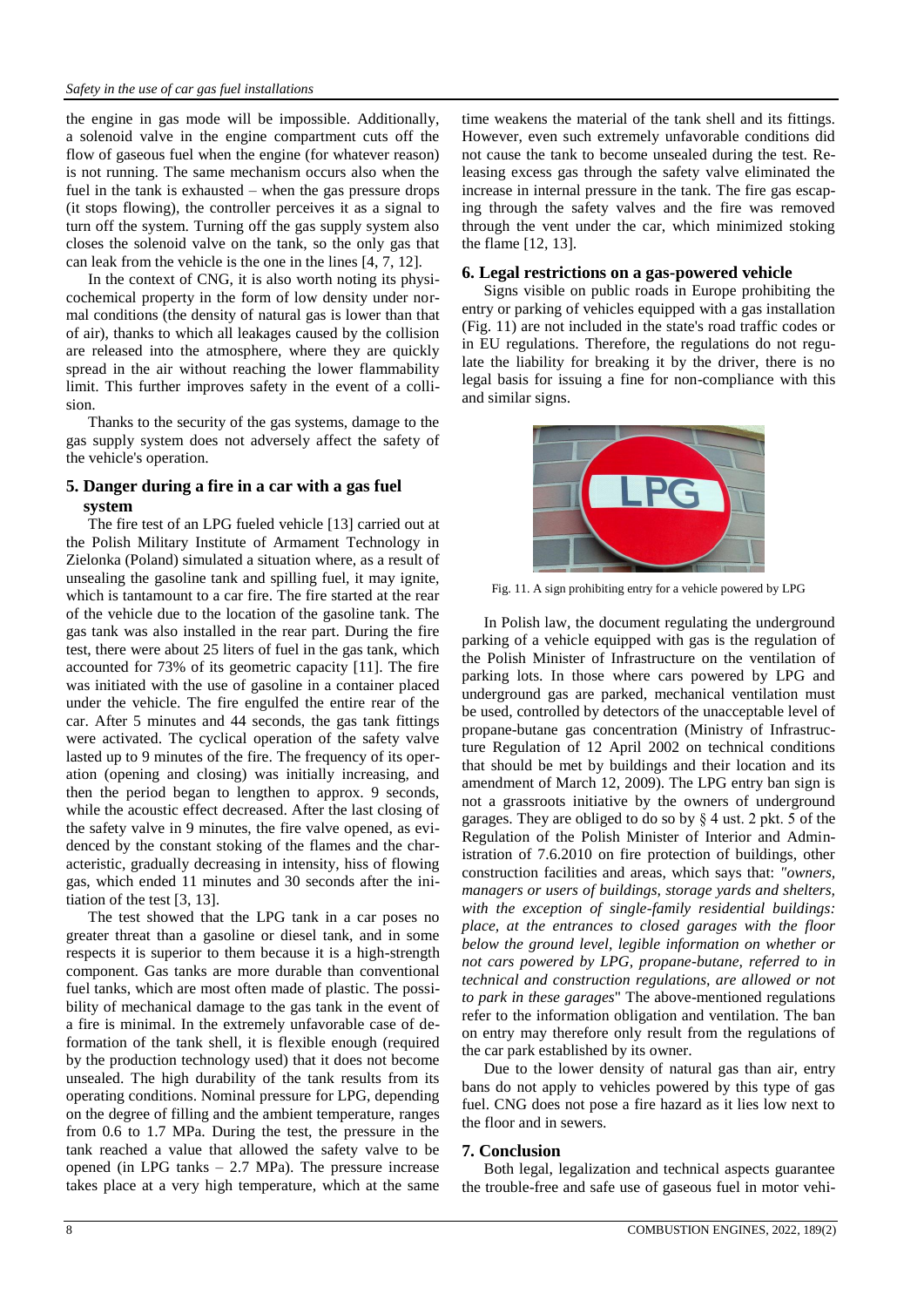the engine in gas mode will be impossible. Additionally, a solenoid valve in the engine compartment cuts off the flow of gaseous fuel when the engine (for whatever reason) is not running. The same mechanism occurs also when the fuel in the tank is exhausted – when the gas pressure drops (it stops flowing), the controller perceives it as a signal to turn off the system. Turning off the gas supply system also closes the solenoid valve on the tank, so the only gas that can leak from the vehicle is the one in the lines [4, 7, 12].

In the context of CNG, it is also worth noting its physicochemical property in the form of low density under normal conditions (the density of natural gas is lower than that of air), thanks to which all leakages caused by the collision are released into the atmosphere, where they are quickly spread in the air without reaching the lower flammability limit. This further improves safety in the event of a collision.

Thanks to the security of the gas systems, damage to the gas supply system does not adversely affect the safety of the vehicle's operation.

# **5. Danger during a fire in a car with a gas fuel system**

The fire test of an LPG fueled vehicle [13] carried out at the Polish Military Institute of Armament Technology in Zielonka (Poland) simulated a situation where, as a result of unsealing the gasoline tank and spilling fuel, it may ignite, which is tantamount to a car fire. The fire started at the rear of the vehicle due to the location of the gasoline tank. The gas tank was also installed in the rear part. During the fire test, there were about 25 liters of fuel in the gas tank, which accounted for 73% of its geometric capacity [11]. The fire was initiated with the use of gasoline in a container placed under the vehicle. The fire engulfed the entire rear of the car. After 5 minutes and 44 seconds, the gas tank fittings were activated. The cyclical operation of the safety valve lasted up to 9 minutes of the fire. The frequency of its operation (opening and closing) was initially increasing, and then the period began to lengthen to approx. 9 seconds, while the acoustic effect decreased. After the last closing of the safety valve in 9 minutes, the fire valve opened, as evidenced by the constant stoking of the flames and the characteristic, gradually decreasing in intensity, hiss of flowing gas, which ended 11 minutes and 30 seconds after the initiation of the test [3, 13].

The test showed that the LPG tank in a car poses no greater threat than a gasoline or diesel tank, and in some respects it is superior to them because it is a high-strength component. Gas tanks are more durable than conventional fuel tanks, which are most often made of plastic. The possibility of mechanical damage to the gas tank in the event of a fire is minimal. In the extremely unfavorable case of deformation of the tank shell, it is flexible enough (required by the production technology used) that it does not become unsealed. The high durability of the tank results from its operating conditions. Nominal pressure for LPG, depending on the degree of filling and the ambient temperature, ranges from 0.6 to 1.7 MPa. During the test, the pressure in the tank reached a value that allowed the safety valve to be opened (in LPG tanks  $-2.7$  MPa). The pressure increase takes place at a very high temperature, which at the same

time weakens the material of the tank shell and its fittings. However, even such extremely unfavorable conditions did not cause the tank to become unsealed during the test. Releasing excess gas through the safety valve eliminated the increase in internal pressure in the tank. The fire gas escaping through the safety valves and the fire was removed through the vent under the car, which minimized stoking the flame [12, 13].

### **6. Legal restrictions on a gas-powered vehicle**

Signs visible on public roads in Europe prohibiting the entry or parking of vehicles equipped with a gas installation (Fig. 11) are not included in the state's road traffic codes or in EU regulations. Therefore, the regulations do not regulate the liability for breaking it by the driver, there is no legal basis for issuing a fine for non-compliance with this and similar signs.



Fig. 11. A sign prohibiting entry for a vehicle powered by LPG

In Polish law, the document regulating the underground parking of a vehicle equipped with gas is the regulation of the Polish Minister of Infrastructure on the ventilation of parking lots. In those where cars powered by LPG and underground gas are parked, mechanical ventilation must be used, controlled by detectors of the unacceptable level of propane-butane gas concentration (Ministry of Infrastructure Regulation of 12 April 2002 on technical conditions that should be met by buildings and their location and its amendment of March 12, 2009). The LPG entry ban sign is not a grassroots initiative by the owners of underground garages. They are obliged to do so by § 4 ust. 2 pkt. 5 of the Regulation of the Polish Minister of Interior and Administration of 7.6.2010 on fire protection of buildings, other construction facilities and areas, which says that: *"owners, managers or users of buildings, storage yards and shelters, with the exception of single-family residential buildings: place, at the entrances to closed garages with the floor below the ground level, legible information on whether or not cars powered by LPG, propane-butane, referred to in technical and construction regulations, are allowed or not to park in these garages*" The above-mentioned regulations refer to the information obligation and ventilation. The ban on entry may therefore only result from the regulations of the car park established by its owner.

Due to the lower density of natural gas than air, entry bans do not apply to vehicles powered by this type of gas fuel. CNG does not pose a fire hazard as it lies low next to the floor and in sewers.

#### **7. Conclusion**

Both legal, legalization and technical aspects guarantee the trouble-free and safe use of gaseous fuel in motor vehi